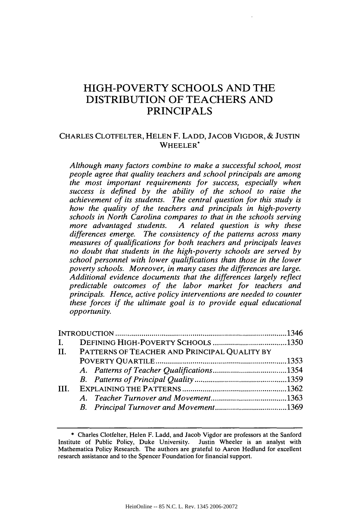# HIGH-POVERTY **SCHOOLS AND** THE **DISTRIBUTION** OF **TEACHERS AND** PRINCIPALS

# CHARLES CLOTFELTER, **HELEN** F. **LADD, JACOB** VIGDOR, & **JUSTIN** WHEELER\*

*Although many factors combine to make a successful school, most people agree that quality teachers and school principals are among the most important requirements for success, especially when success is defined by the ability of the school to raise the achievement of its students. The central question for this study is how the quality of the teachers and principals in high-poverty schools in North Carolina compares to that in the schools serving more advantaged students. A related question is why these differences emerge. The consistency of the patterns across many measures of qualifications for both teachers and principals leaves no doubt that students in the high-poverty schools are served by school personnel with lower qualifications than those in the lower poverty schools. Moreover, in many cases the differences are large. Additional evidence documents that the differences largely reflect predictable outcomes of the labor market for teachers and principals. Hence, active policy interventions are needed to counter these forces if the ultimate goal is to provide equal educational opportunity.*

| $\mathbf{I}$ |                                                  |  |
|--------------|--------------------------------------------------|--|
|              | II. PATTERNS OF TEACHER AND PRINCIPAL QUALITY BY |  |
|              |                                                  |  |
|              |                                                  |  |
|              |                                                  |  |
| TH.          |                                                  |  |
|              |                                                  |  |
|              |                                                  |  |
|              |                                                  |  |

<sup>\*</sup> Charles Clotfelter, Helen F. Ladd, and Jacob Vigdor are professors at the Sanford Institute of Public Policy, Duke University. Justin Wheeler is an analyst with Mathematica Policy Research. The authors are grateful to Aaron Hedlund for excellent research assistance and to the Spencer Foundation for financial support.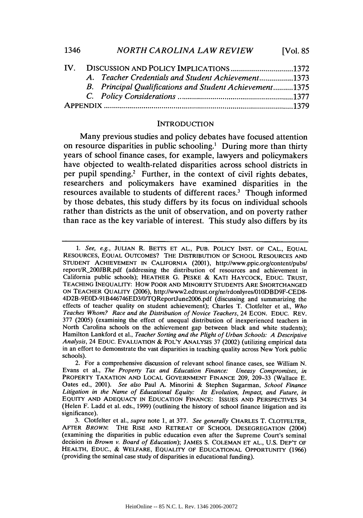| 1346 | <b>NORTH CAROLINA LAW REVIEW</b> | [Vol. $85$ |
|------|----------------------------------|------------|
|------|----------------------------------|------------|

|  | IV. DISCUSSION AND POLICY IMPLICATIONS 1372<br>A. Teacher Credentials and Student Achievement1373<br>B. Principal Qualifications and Student Achievement1375 |
|--|--------------------------------------------------------------------------------------------------------------------------------------------------------------|

# **INTRODUCTION**

Many previous studies and policy debates have focused attention on resource disparities in public schooling.' During more than thirty years of school finance cases, for example, lawyers and policymakers have objected to wealth-related disparities across school districts in per pupil spending.2 Further, in the context of civil rights debates, researchers and policymakers have examined disparities in the resources available to students of different races.<sup>3</sup> Though informed **by** those debates, this study differs **by** its focus on individual schools rather than districts as the unit of observation, and on poverty rather than race as the key variable of interest. This study also differs **by** its

*<sup>1.</sup>* See, e.g., JULIAN R. BETTS ET AL., PUB. POLICY INST. OF CAL., EQUAL RESOURCES, **EQUAL** OUTCOMES? THE DISTRIBUTION OF SCHOOL RESOURCES AND STUDENT ACHIEVEMENT IN CALIFORNIA (2001), http://www.ppic.org/content/pubs/ report/R\_200JBR.pdf (addressing the distribution of resources and achievement in California public schools); HEATHER G. PESKE & KATI HAYCOCK, EDUC. TRUST, TEACHING INEQUALITY: How POOR AND MINORITY STUDENTS ARE SHORTCHANGED ON TEACHER QUALITY (2006), http://www2.edtrust.org/nr/rdonlyres/01ODBD9F-CED8- 4D2B-9EOD-91B446746ED3/0/TQReportJune2006.pdf (discussing and summarizing the effects of teacher quality on student achievement); Charles T. Clotfelter et al., *Who Teaches Whom? Race and the Distribution of Novice Teachers,* 24 ECON. EDUC. REV. 377 (2005) (examining the effect of unequal distribution of inexperienced teachers in North Carolina schools on the achievement gap between black and white students); Hamilton Lankford et al., *Teacher Sorting and the Plight of Urban Schools: A Descriptive Analysis,* 24 EDUC. EVALUATION & POL'Y ANALYSIS 37 (2002) (utilizing empirical data in an effort to demonstrate the vast disparities in teaching quality across New York public schools).

<sup>2.</sup> For a comprehensive discussion of relevant school finance cases, see William N. Evans et al., *The Property Tax and Education Finance: Uneasy Compromises, in* PROPERTY TAXATION AND LOCAL GOVERNMENT FINANCE 209, 209-33 (Wallace E. Oates ed., 2001). *See also* Paul A. Minorini & Stephen Sugarman, *School Finance Litigation in the Name of Educational Equity: Its Evolution, Impact, and Future, in* EQUITY **AND** ADEQUACY IN EDUCATION FINANCE: ISSUES AND PERSPECTIVES 34 (Helen F. Ladd et al. eds., 1999) (outlining the history of school finance litigation and its significance).

<sup>3.</sup> Clotfelter et al., *supra* note 1, at 377. *See generally* CHARLES T. CLOTFELTER, AFTER *BROWN:* THE RISE AND RETREAT OF SCHOOL DESEGREGATION (2004) (examining the disparities in public education even after the Supreme Court's seminal decision in *Brown v. Board of Education);* JAMES S. COLEMAN ET AL., U.S. DEP'T OF HEALTH, EDUC., & WELFARE, EQUALITY OF EDUCATIONAL OPPORTUNITY (1966) (providing the seminal case study of disparities in educational funding).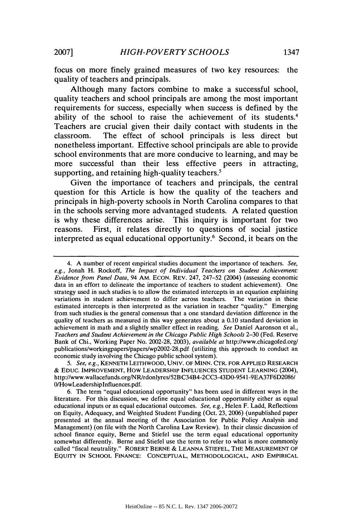focus on more finely grained measures of two key resources: the quality of teachers and principals.

Although many factors combine to make a successful school, quality teachers and school principals are among the most important requirements for success, especially when success is defined by the ability of the school to raise the achievement of its students.4 Teachers are crucial given their daily contact with students in the classroom. The effect of school principals is less direct but nonetheless important. Effective school principals are able to provide school environments that are more conducive to learning, and may be more successful than their less effective peers in attracting, supporting, and retaining high-quality teachers.<sup>5</sup>

Given the importance of teachers and principals, the central question for this Article is how the quality of the teachers and principals in high-poverty schools in North Carolina compares to that in the schools serving more advantaged students. A related question is why these differences arise. This inquiry is important for two reasons. First, it relates directly to questions of social justice interpreted as equal educational opportunity.6 Second, it bears on the

<sup>4.</sup> A number of recent empirical studies document the importance of teachers. *See, e.g.,* Jonah H. Rockoff, *The Impact of Individual Teachers on Student Achievement: Evidence from Panel Data,* 94 AM. ECON. REV. 247, 247-52 (2004) (assessing economic data in an effort to delineate the importance of teachers to student achievement). One strategy used in such studies is to allow the estimated intercepts in an equation explaining variations in student achievement to differ across teachers. The variation in these estimated intercepts is then interpreted as the variation in teacher "quality." Emerging from such studies is the general consensus that a one standard deviation difference in the quality of teachers as measured in this way generates about a 0.10 standard deviation in achievement in math and a slightly smaller effect in reading. *See* Daniel Aaronson et al., *Teachers and Student Achievement in the Chicago Public High Schools* 2-30 (Fed. Reserve Bank of Chi., Working Paper No. 2002-28, 2003), *available at* http://www.chicagofed.org/ publications/workingpapers/papers/wp2002-28.pdf (utilizing this approach to conduct an economic study involving the Chicago public school system).

*<sup>5.</sup> See, e.g.,* **KENNETH** LEITHWOOD, **UNIV. OF** MINN. CTR. **FOR** APPLIED RESEARCH & EDUC. IMPROVEMENT, How LEADERSHIP **INFLUENCES STUDENT LEARNING** (2004), http://www.wallacefunds.org/NR/rdonlyres/52BC34B4-2CC3-43D0-9541-9EA37F6D2086/ OHowLeadershiplnfluences.pdf.

<sup>6.</sup> The term "equal educational opportunity" has been used in different ways in the literature. For this discussion, we define equal educational opportunity either as equal educational inputs or as equal educational outcomes. *See, e.g.,* Helen F. Ladd, Reflections on Equity, Adequacy, and Weighted Student Funding (Oct. 23, 2006) (unpublished paper presented at the annual meeting of the Association for Public Policy Analysis and Management) (on file with the North Carolina Law Review). In their classic discussion of school finance equity, Berne and Stiefel use the term equal educational opportunity somewhat differently. Berne and Stiefel use the term to refer to what is more commonly called "fiscal neutrality." ROBERT BERNE & **LEANNA** STIEFEL, THE **MEASUREMENT** OF EQUITY **IN SCHOOL FINANCE: CONCEPTUAL, METHODOLOGICAL, AND** EMPIRICAL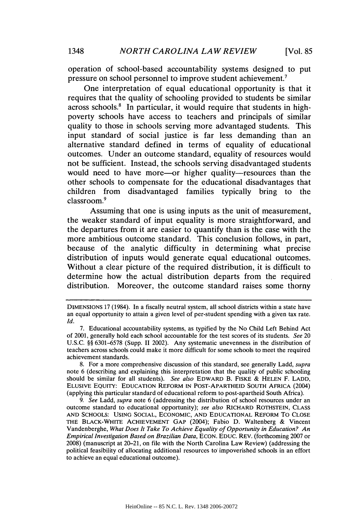operation of school-based accountability systems designed to put pressure on school personnel to improve student achievement.7

One interpretation of equal educational opportunity is that it requires that the quality of schooling provided to students be similar  $across schools.<sup>8</sup>$  In particular, it would require that students in highpoverty schools have access to teachers and principals of similar quality to those in schools serving more advantaged students. This input standard of social justice is far less demanding than an alternative standard defined in terms of equality of educational outcomes. Under an outcome standard, equality of resources would not be sufficient. Instead, the schools serving disadvantaged students would need to have more—or higher quality—resources than the other schools to compensate for the educational disadvantages that children from disadvantaged families typically bring to the classroom.9

Assuming that one is using inputs as the unit of measurement, the weaker standard of input equality is more straightforward, and the departures from it are easier to quantify than is the case with the more ambitious outcome standard. This conclusion follows, in part, because of the analytic difficulty in determining what precise distribution of inputs would generate equal educational outcomes. Without a clear picture of the required distribution, it is difficult to determine how the actual distribution departs from the required distribution. Moreover, the outcome standard raises some thorny

DIMENSIONS 17 (1984). In a fiscally neutral system, all school districts within a state have an equal opportunity to attain a given level of per-student spending with a given tax rate. *Id.*

<sup>7.</sup> Educational accountability systems, as typified **by** the No Child Left Behind Act of 2001, generally hold each school accountable for the test scores of its students. *See* 20 U.S.C. §§ 6301-6578 (Supp. II 2002). Any systematic unevenness in the distribution of teachers across schools could make it more difficult for some schools to meet the required achievement standards.

<sup>8.</sup> For a more comprehensive discussion of this standard, see generally Ladd, *supra* note **6** (describing and explaining this interpretation that the quality of public schooling should be similar for all students). *See also* EDWARD B. FISKE & HELEN F. LADD, ELUSIVE EQUITY: EDUCATION REFORM IN POST-APARTHEID SOUTH AFRICA (2004) (applying this particular standard of educational reform to post-apartheid South Africa).

*<sup>9.</sup> See* Ladd, *supra* note **6** (addressing the distribution of school resources under an outcome standard to educational opportunity); *see also* RICHARD ROTHSTEIN, CLASS **AND** SCHOOLS: USING SOCIAL, ECONOMIC, AND EDUCATIONAL REFORM To CLOSE THE BLACK-WHITE ACHIEVEMENT GAP (2004); Fabio D. Waltenberg & Vincent Vandenberghe, *What Does It Take To Achieve Equality of Opportunity in Education? An Empirical Investigation Based on Brazilian Data,* ECON. EDUC. REV. (forthcoming 2007 or 2008) (manuscript at 20-21, on file with the North Carolina Law Review) (addressing the political feasibility of allocating additional resources to impoverished schools in an effort to achieve an equal educational outcome).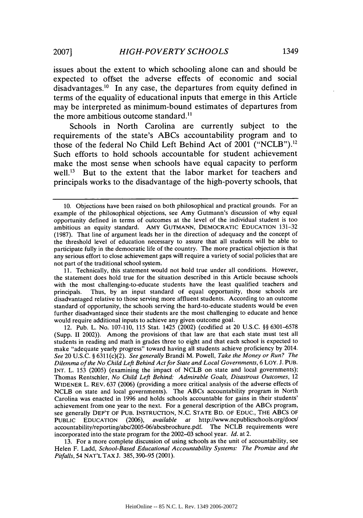issues about the extent to which schooling alone can and should be expected to offset the adverse effects of economic and social disadvantages.<sup>10</sup> In any case, the departures from equity defined in terms of the equality of educational inputs that emerge in this Article may be interpreted as minimum-bound estimates of departures from the more ambitious outcome standard."

Schools in North Carolina are currently subject to the requirements of the state's ABCs accountability program and to those of the federal No Child Left Behind Act of 2001 ("NCLB"). <sup>12</sup> Such efforts to hold schools accountable for student achievement make the most sense when schools have equal capacity to perform well.<sup>13</sup> But to the extent that the labor market for teachers and principals works to the disadvantage of the high-poverty schools, that

13. For a more complete discussion of using schools as the unit of accountability, see Helen F. Ladd, *School-Based Educational Accountability Systems: The Promise and the Pitfalls,* 54 NAT'L TAX J. 385, 390-95 (2001).

<sup>10.</sup> Objections have been raised on both philosophical and practical grounds. For an example of the philosophical objections, see Amy Gutmann's discussion of why equal opportunity defined in terms of outcomes at the level of the individual student is too ambitious an equity standard. AMY GUTMANN, DEMOCRATIC EDUCATION 131-32 (1987). That line of argument leads her in the direction of adequacy and the concept of the threshold level of education necessary to assure that all students will be able to participate fully in the democratic life of the country. The more practical objection is that any serious effort to close achievement gaps will require a variety of social policies that are not part of the traditional school system.

<sup>11.</sup> Technically, this statement would not hold true under all conditions. However, the statement does hold true for the situation described in this Article because schools with the most challenging-to-educate students have the least qualified teachers and principals. Thus, by an input standard of equal opportunity, those schools are disadvantaged relative to those serving more affluent students. According to an outcome standard of opportunity, the schools serving the hard-to-educate students would be even further disadvantaged since their students are the most challenging to educate and hence would require additional inputs to achieve any given outcome goal.

<sup>12.</sup> Pub. L. No. 107-110, 115 Stat. 1425 (2002) (codified at 20 U.S.C. §§ 6301-6578 (Supp. II 2002)). Among the provisions of that law are that each state must test all students in reading and math in grades three to eight and that each school is expected to make "adequate yearly progress" toward having all students achieve proficiency by 2014. *See* 20 U.S.C. § 6311(c)(2). *See generally* Brandi M. Powell, *Take the Money or Run? The Dilemma of the NoChild Left Behind Act for State and Local Governments,* 6 LOY. J. PUB. INT. L. 153 (2005) (examining the impact of NCLB on state and local governments); Thomas Rentschler, *No Child Left Behind: Admirable Goals, Disastrous Outcomes,* 12 WIDENER L. REV. 637 (2006) (providing a more critical analysis of the adverse effects of NCLB on state and local governments). The ABCs accountability program in North Carolina was enacted in 1996 and holds schools accountable for gains in their students' achievement from one year to the next. For a general description of the ABCs program, see generally DEP'T OF PUB. INSTRUCTION, N.C. STATE BD. OF EDUC., THE ABCS OF PUBLIC EDUCATION (2006), *available at* http://www.ncpublicschools.org/docs/ accountability/reporting/abc/2005-06/abcsbrochure.pdf. The NCLB requirements were incorporated into the state program for the 2002-03 school year. *Id.* at 2.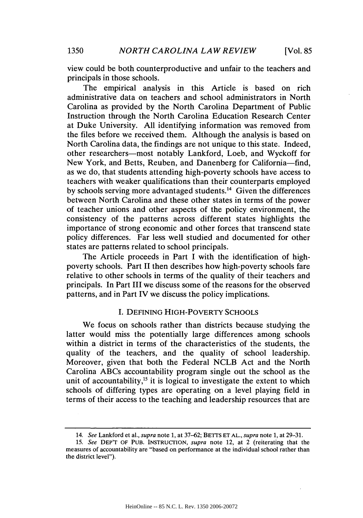view could be both counterproductive and unfair to the teachers and principals in those schools.

The empirical analysis in this Article is based on rich administrative data on teachers and school administrators in North Carolina as provided by the North Carolina Department of Public Instruction through the North Carolina Education Research Center at Duke University. All identifying information was removed from the files before we received them. Although the analysis is based on North Carolina data, the findings are not unique to this state. Indeed, other researchers-most notably Lankford, Loeb, and Wyckoff for New York, and Betts, Reuben, and Danenberg for California-find, as we do, that students attending high-poverty schools have access to teachers with weaker qualifications than their counterparts employed by schools serving more advantaged students.14 Given the differences between North Carolina and these other states in terms of the power of teacher unions and other aspects of the policy environment, the consistency of the patterns across different states highlights the importance of strong economic and other forces that transcend state policy differences. Far less well studied and documented for other states are patterns related to school principals.

The Article proceeds in Part I with the identification of highpoverty schools. Part II then describes how high-poverty schools fare relative to other schools in terms of the quality of their teachers and principals. In Part III we discuss some of the reasons for the observed patterns, and in Part IV we discuss the policy implications.

#### **I. DEFINING** HIGH-POVERTY **SCHOOLS**

We focus on schools rather than districts because studying the latter would miss the potentially large differences among schools within a district in terms of the characteristics of the students, the quality of the teachers, and the quality of school leadership. Moreover, given that both the Federal NCLB Act and the North Carolina ABCs accountability program single out the school as the unit of accountability,<sup>15</sup> it is logical to investigate the extent to which schools of differing types are operating on a level playing field in terms of their access to the teaching and leadership resources that are

<sup>14.</sup> *See* Lankford et al., *supra* note 1, at 37-62; BETTS ET **AL.,** *supra* note 1, at 29-31.

*<sup>15.</sup> See* DEP'T OF **PUB.** INSTRUCrION, *supra* note 12, at 2 (reiterating that the measures of accountability are "based on performance at the individual school rather than the district level").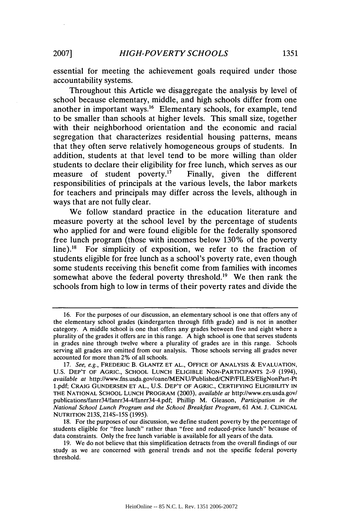essential for meeting the achievement goals required under those accountability systems.

Throughout this Article we disaggregate the analysis by level of school because elementary, middle, and high schools differ from one another in important ways. 16 Elementary schools, for example, tend to be smaller than schools at higher levels. This small size, together with their neighborhood orientation and the economic and racial segregation that characterizes residential housing patterns, means that they often serve relatively homogeneous groups of students. In addition, students at that level tend to be more willing than older students to declare their eligibility for free lunch, which serves as our measure of student poverty.<sup>17</sup> Finally, given the different responsibilities of principals at the various levels, the labor markets for teachers and principals may differ across the levels, although in ways that are not fully clear.

We follow standard practice in the education literature and measure poverty at the school level by the percentage of students who applied for and were found eligible for the federally sponsored free lunch program (those with incomes below 130% of the poverty line).<sup>18</sup> For simplicity of exposition, we refer to the fraction of students eligible for free lunch as a school's poverty rate, even though some students receiving this benefit come from families with incomes somewhat above the federal poverty threshold.<sup>19</sup> We then rank the schools from high to low in terms of their poverty rates and divide the

<sup>16.</sup> For the purposes of our discussion, an elementary school is one that offers any of the elementary school grades (kindergarten through fifth grade) and is not in another category. A middle school is one that offers any grades between five and eight where a plurality of the grades it offers are in this range. A high school is one that serves students in grades nine through twelve where a plurality of grades are in this range. Schools serving all grades are omitted from our analysis. Those schools serving all grades never accounted for more than 2% of all schools.

<sup>17.</sup> *See, e.g.,* FREDERIC B. **GLANTZ ET AL., OFFICE** OF ANALYSIS & **EVALUATION,** U.S. DEP'T OF AGRIC., **SCHOOL LUNCH** ELIGIBLE NON-PARTICIPANTS 2-9 (1994), *available at* http://www.fns.usda.gov/oane/MENU/Published/CNP/FILES/EligNonPart-Pt 1.pdf; CRAIG **GUNDERSEN ET AL.,** U.S. DEP'T OF AGRIC., CERTIFYING ELIGIBILITY **IN** THE **NATIONAL SCHOOL LUNCH** PROGRAM (2003), *available at* http://www.ers.usda.gov/ publications/fanrr34/fanrr34-4/fanrr34-4.pdf; Phillip M. Gleason, *Participation in the National School Lunch Program and the School Breakfast Program,* 61 AM. J. CLINICAL NUTRITION 213S, 214S-15S (1995).

<sup>18.</sup> For the purposes of our discussion, we define student poverty by the percentage of students eligible for "free lunch" rather than "free and reduced-price lunch" because of data constraints. Only the free lunch variable is available for all years of the data.

<sup>19.</sup> We do not believe that this simplification detracts from the overall findings of our study as we are concerned with general trends and not the specific federal poverty threshold.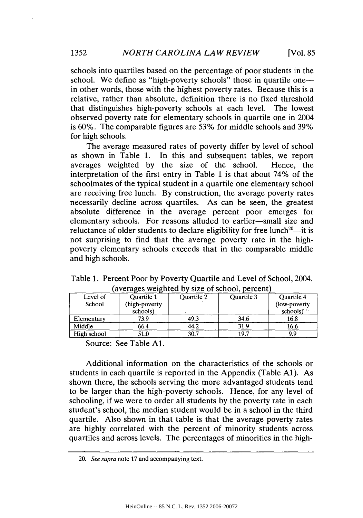schools into quartiles based on the percentage of poor students in the school. We define as "high-poverty schools" those in quartile onein other words, those with the highest poverty rates. Because this is a relative, rather than absolute, definition there is no fixed threshold that distinguishes high-poverty schools at each level. The lowest observed poverty rate for elementary schools in quartile one in 2004 is 60%. The comparable figures are 53% for middle schools and 39% for high schools.

The average measured rates of poverty differ by level of school as shown in Table 1. In this and subsequent tables, we report averages weighted by the size of the school. Hence, the interpretation of the first entry in Table 1 is that about 74% of the schoolmates of the typical student in a quartile one elementary school are receiving free lunch. By construction, the average poverty rates necessarily decline across quartiles. As can be seen, the greatest absolute difference in the average percent poor emerges for elementary schools. For reasons alluded to earlier-small size and reluctance of older students to declare eligibility for free lunch<sup>20</sup>—it is not surprising to find that the average poverty rate in the highpoverty elementary schools exceeds that in the comparable middle and high schools.

| averaged weighted or<br>$5.25$ or $50.1001$ , $60.1001$ |                   |                   |                   |                   |  |
|---------------------------------------------------------|-------------------|-------------------|-------------------|-------------------|--|
| Level of                                                | <b>Ouartile 1</b> | <b>Ouartile 2</b> | <b>Ouartile 3</b> | <b>Ouartile 4</b> |  |
| School                                                  | (high-poverty)    |                   |                   | (low-poverty)     |  |
|                                                         | schools)          |                   |                   | schools)          |  |
| Elementary                                              | 73.9              | 49.3              | 34.6              | 16.8              |  |
| Middle                                                  | 66.4              | 44.2              | 31.9              | 16.6              |  |
| High school                                             | 51.0              | 30.7              | 19.7              | 9.9               |  |

Table 1. Percent Poor by Poverty Quartile and Level of School, 2004.  $(a$  verages weighted by size of school, percent)

Source: See Table **Al.**

Additional information on the characteristics of the schools or students in each quartile is reported in the Appendix (Table Al). As shown there, the schools serving the more advantaged students tend to be larger than the high-poverty schools. Hence, for any level of schooling, if we were to order all students by the poverty rate in each student's school, the median student would be in a school in the third quartile. Also shown in that table is that the average poverty rates are highly correlated with the percent of minority students across quartiles and across levels. The percentages of minorities in the high-

<sup>20.</sup> *See supra* note 17 and accompanying text.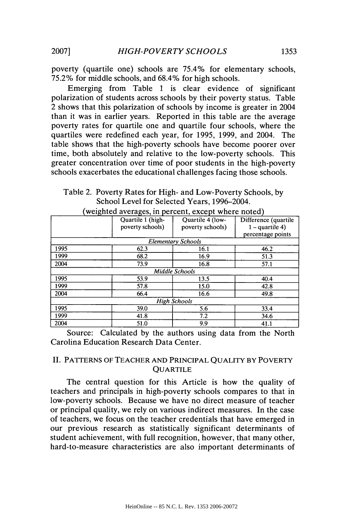poverty (quartile one) schools are 75.4% for elementary schools, 75.2% for middle schools, and 68.4% for high schools.

Emerging from Table 1 is clear evidence of significant polarization of students across schools by their poverty status. Table 2 shows that this polarization of schools by income is greater in 2004 than it was in earlier years. Reported in this table are the average poverty rates for quartile one and quartile four schools, where the quartiles were redefined each year, for 1995, 1999, and 2004. The table shows that the high-poverty schools have become poorer over time, both absolutely and relative to the low-poverty schools. This greater concentration over time of poor students in the high-poverty schools exacerbates the educational challenges facing those schools.

Table 2. Poverty Rates for High- and Low-Poverty Schools, by School Level for Selected Years, 1996-2004.

|                     | Quartile 1 (high- | Quartile 4 (low-          | Difference (quartile |  |  |
|---------------------|-------------------|---------------------------|----------------------|--|--|
|                     | poverty schools)  | poverty schools)          | $1 -$ quartile 4)    |  |  |
|                     |                   |                           | percentage points    |  |  |
|                     |                   | <b>Elementary Schools</b> |                      |  |  |
| 1995                | 62.3              | 16.1                      | 46.2                 |  |  |
| 1999                | 68.2              | 16.9                      | 51.3                 |  |  |
| 2004                | 73.9              | 16.8                      | 57.1                 |  |  |
|                     |                   | Middle Schools            |                      |  |  |
| 1995                | 53.9              | 13.5                      | 40.4                 |  |  |
| 1999                | 57.8              | 15.0                      | 42.8                 |  |  |
| 2004                | 66.4              | 16.6                      | 49.8                 |  |  |
| <b>High Schools</b> |                   |                           |                      |  |  |
| 1995                | 39.0              | 5.6                       | 33.4                 |  |  |
| 1999                | 41.8              | 7.2                       | 34.6                 |  |  |
| 2004                | 51.0              | 9.9                       | 41.1                 |  |  |

(weighted averages, in percent, except where noted)

Source: Calculated by the authors using data from the North Carolina Education Research Data Center.

# II. **PATTERNS** OF TEACHER **AND** PRINCIPAL QUALITY BY POVERTY **QUARTILE**

The central question for this Article is how the quality of teachers and principals in high-poverty schools compares to that in low-poverty schools. Because we have no direct measure of teacher or principal quality, we rely on various indirect measures. In the case of teachers, we focus on the teacher credentials that have emerged in our previous research as statistically significant determinants of student achievement, with full recognition, however, that many other, hard-to-measure characteristics are also important determinants of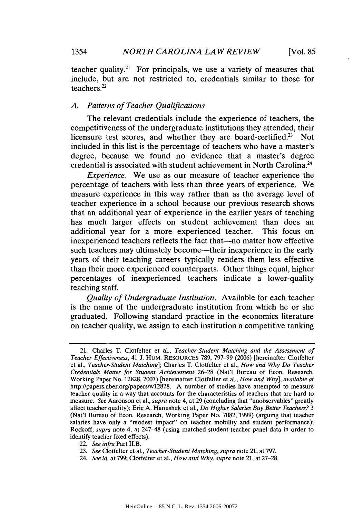teacher quality.<sup>21</sup> For principals, we use a variety of measures that include, but are not restricted to, credentials similar to those for teachers.22

# *A. Patterns of Teacher Qualifications*

The relevant credentials include the experience of teachers, the competitiveness of the undergraduate institutions they attended, their licensure test scores, and whether they are board-certified.<sup>23</sup> Not included in this list is the percentage of teachers who have a master's degree, because we found no evidence that a master's degree credential is associated with student achievement in North Carolina.24

*Experience.* We use as our measure of teacher experience the percentage of teachers with less than three years of experience. We measure experience in this way rather than as the average level of teacher experience in a school because our previous research shows that an additional year of experience in the earlier years of teaching has much larger effects on student achievement than does an additional year for a more experienced teacher. This focus on inexperienced teachers reflects the fact that—no matter how effective such teachers may ultimately become—their inexperience in the early years of their teaching careers typically renders them less effective than their more experienced counterparts. Other things equal, higher percentages of inexperienced teachers indicate a lower-quality teaching staff.

*Quality of Undergraduate Institution.* Available for each teacher is the name of the undergraduate institution from which he or she graduated. Following standard practice in the economics literature on teacher quality, we assign to each institution a competitive ranking

<sup>21.</sup> Charles T. Clotfelter et al., *Teacher-Student Matching and the Assessment of Teacher Effectiveness,* 41 J. HUM. RESOURCES 789, 797-99 (2006) [hereinafter Clotfelter et al., *Teacher-Student Matching];* Charles T. Clotfelter et al., *How and Why Do Teacher Credentials Matter for Student Achievement* 26-28 (Nat'l Bureau of Econ. Research, Working Paper No. 12828, 2007) [hereinafter Clotfelter et al., *How and Why], available at* http://papers.nber.org/papers/w12828. **A** number of studies have attempted to measure teacher quality in a way that accounts for the characteristics of teachers that are hard to measure. *See* Aaronson et al., *supra* note 4, at **29** (concluding that "unobservables" greatly affect teacher quality); Eric **A.** Hanushek et al., *Do Higher Salaries Buy Better Teachers? 3* (Nat'l Bureau of Econ. Research, Working Paper No. 7082, 1999) (arguing that teacher salaries have only a "modest impact" on teacher mobility and student performance); Rockoff, *supra* note 4, at 247-48 (using matched student-teacher panel data in order to identify teacher fixed effects).

<sup>22.</sup> *See infra* Part II.B.

<sup>23.</sup> *See* Clotfelter et al., *Teacher-Student Matching, supra* note 21, at 797.

<sup>24.</sup> *See id.* at 799; Clotfelter et al., *How and Why, supra* note 21, at 27-28.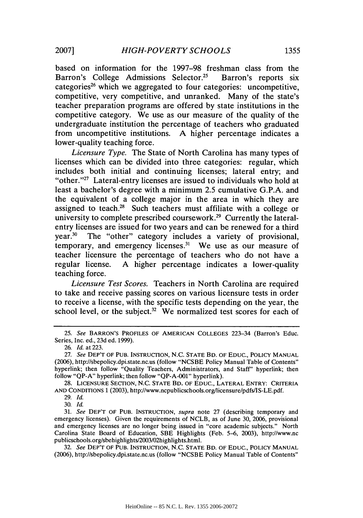based on information for the 1997-98 freshman class from the Barron's College Admissions Selector.<sup>25</sup> Barron's reports six categories<sup>26</sup> which we aggregated to four categories: uncompetitive, competitive, very competitive, and unranked. Many of the state's teacher preparation programs are offered by state institutions in the competitive category. We use as our measure of the quality of the undergraduate institution the percentage of teachers who graduated from uncompetitive institutions. A higher percentage indicates a lower-quality teaching force.

*Licensure Type.* The State of North Carolina has many types of licenses which can be divided into three categories: regular, which includes both initial and continuing licenses; lateral entry; and "other. $"^{27}$  Lateral-entry licenses are issued to individuals who hold at least a bachelor's degree with a minimum 2.5 cumulative G.P.A. and the equivalent of a college major in the area in which they are assigned to teach. $^{28}$  Such teachers must affiliate with a college or university to complete prescribed coursework.<sup>29</sup> Currently the lateralentry licenses are issued for two years and can be renewed for a third year.<sup>30</sup> The "other" category includes a variety of provisional, temporary, and emergency licenses. $31$  We use as our measure of teacher licensure the percentage of teachers who do not have a regular license. A higher percentage indicates a lower-quality teaching force.

*Licensure Test Scores.* Teachers in North Carolina are required to take and receive passing scores on various licensure tests in order to receive a license, with the specific tests depending on the year, the school level, or the subject. $32$  We normalized test scores for each of

28. LICENSURE SECTION, N.C. STATE BD. OF EDUC., LATERAL ENTRY: CRITERIA AND CONDITIONS 1 (2003), http://www.ncpublicschools.org/licensure/pdfs/IS-LE.pdf.

30. *Id.*

32. *See* DEP'T OF PUB. INSTRUCTION, N.C. STATE BD. OF EDUC., POLICY MANUAL (2006), http://sbepolicy.dpi.state.nc.us (follow "NCSBE Policy Manual Table of Contents"

*<sup>25.</sup> See* BARRON'S PROFILES OF AMERICAN COLLEGES 223-34 (Barron's Educ. Series, Inc. ed., 23d ed. 1999).

<sup>26.</sup> *Id.* at 223.

<sup>27.</sup> *See* DEP'T OF PUB. INSTRUCTION, N.C. STATE BD. OF EDUC., POLICY MANUAL (2006), http://sbepolicy.dpi.state.nc.us (follow "NCSBE Policy Manual Table of Contents" hyperlink; then follow "Quality Teachers, Administrators, and Staff" hyperlink; then follow "QP-A" hyperlink; then follow "QP-A-001" hyperlink).

<sup>29.</sup> *Id.*

<sup>31.</sup> *See* DEP'T OF PUB. INSTRUCTION, *supra* note 27 (describing temporary and emergency licenses). Given the requirements of NCLB, as of June 30, 2006, provisional and emergency licenses are no longer being issued in "core academic subjects." North Carolina State Board of Education, SBE Highlights (Feb. 5-6, 2003), http://www.nc publicschools.org/sbehighlights/2003/02highlights.html.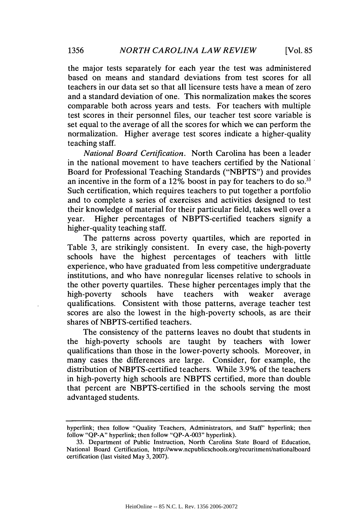the major tests separately for each year the test was administered based on means and standard deviations from test scores for all teachers in our data set so that all licensure tests have a mean of zero and a standard deviation of one. This normalization makes the scores comparable both across years and tests. For teachers with multiple test scores in their personnel files, our teacher test score variable is set equal to the average of all the scores for which we can perform the normalization. Higher average test scores indicate a higher-quality teaching staff.

*National Board Certification.* North Carolina has been a leader in the national movement to have teachers certified by the National Board for Professional Teaching Standards ("NBPTS") and provides an incentive in the form of a  $12\%$  boost in pay for teachers to do so.<sup>33</sup> Such certification, which requires teachers to put together a portfolio and to complete a series of exercises and activities designed to test their knowledge of material for their particular field, takes well over a year. Higher percentages of NBPTS-certified teachers signify a higher-quality teaching staff.

The patterns across poverty quartiles, which are reported in Table 3, are strikingly consistent. In every case, the high-poverty schools have the highest percentages of teachers with little experience, who have graduated from less competitive undergraduate institutions, and who have nonregular licenses relative to schools in the other poverty quartiles. These higher percentages imply that the high-poverty schools have teachers with weaker average qualifications. Consistent with those patterns, average teacher test scores are also the lowest in the high-poverty schools, as are their shares of NBPTS-certified teachers.

The consistency of the patterns leaves no doubt that students in the high-poverty schools are taught by teachers with lower qualifications than those in the lower-poverty schools. Moreover, in many cases the differences are large. Consider, for example, the distribution of NBPTS-certified teachers. While 3.9% of the teachers in high-poverty high schools are NBPTS certified, more than double that percent are NBPTS-certified in the schools serving the most advantaged students.

hyperlink; then follow "Quality Teachers, Administrators, and Staff" hyperlink; then follow "QP-A" hyperlink; then follow "QP-A-003" hyperlink).

<sup>33.</sup> Department of Public Instruction, North Carolina State Board of Education, National Board Certification, http://www.ncpublicschools.org/recuritment/nationalboard certification (last visited May 3, 2007).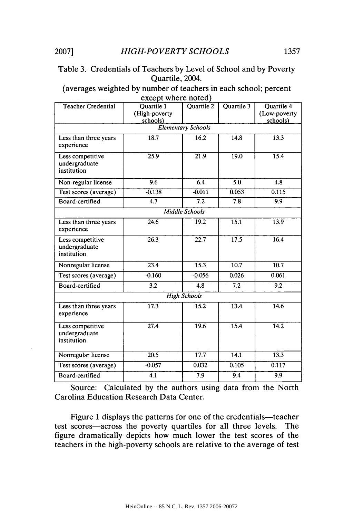# Table 3. Credentials of Teachers by Level of School and by Poverty Quartile, 2004.

(averages weighted **by** number of teachers in each school; percent except where noted)

| <b>Teacher Credential</b>                        | <br><b>Ouartile 1</b><br>(High-poverty<br>schools) | Quartile 2                | Quartile 3 | Quartile 4<br>(Low-poverty<br>schools) |
|--------------------------------------------------|----------------------------------------------------|---------------------------|------------|----------------------------------------|
|                                                  |                                                    | <b>Elementary Schools</b> |            |                                        |
| Less than three years<br>experience              | 18.7                                               | 16.2                      | 14.8       | 13.3                                   |
| Less competitive<br>undergraduate<br>institution | 25.9                                               | 21.9                      | 19.0       | 15.4                                   |
| Non-regular license                              | 9.6                                                | 6.4                       | 5.0        | 4.8                                    |
| Test scores (average)                            | $-0.138$                                           | $-0.011$                  | 0.053      | 0.115                                  |
| Board-certified                                  | $\overline{4.7}$                                   | $\overline{7.2}$          | 7.8        | 9.9                                    |
|                                                  |                                                    | <b>Middle Schools</b>     |            |                                        |
| Less than three years<br>experience              | 24.6                                               | 19.2                      | 15.1       | 13.9                                   |
| Less competitive<br>undergraduate<br>institution | 26.3                                               | 22.7                      | 17.5       | 16.4                                   |
| Nonregular license                               | 23.4                                               | 15.3                      | 10.7       | 10.7                                   |
| Test scores (average)                            | $-0.160$                                           | $-0.056$                  | 0.026      | 0.061                                  |
| Board-certified                                  | 3.2                                                | 4.8                       | 7.2        | 9.2                                    |
|                                                  |                                                    | <b>High Schools</b>       |            |                                        |
| Less than three years<br>experience              | 17.3                                               | 15.2                      | 13.4       | 14.6                                   |
| Less competitive<br>undergraduate<br>institution | 27.4                                               | 19.6                      | 15.4       | 14.2                                   |
| Nonregular license                               | 20.5                                               | 17.7                      | 14.1       | 13.3                                   |
| Test scores (average)                            | $-0.057$                                           | 0.032                     | 0.105      | 0.117                                  |
| Board-certified                                  | 4.1                                                | 7.9                       | 9.4        | 9.9                                    |

Source: Calculated **by** the authors using data from the North Carolina Education Research Data Center.

Figure 1 displays the patterns for one of the credentials-teacher test scores-across the poverty quartiles for all three levels. The figure dramatically depicts how much lower the test scores of the teachers in the high-poverty schools are relative to the average of test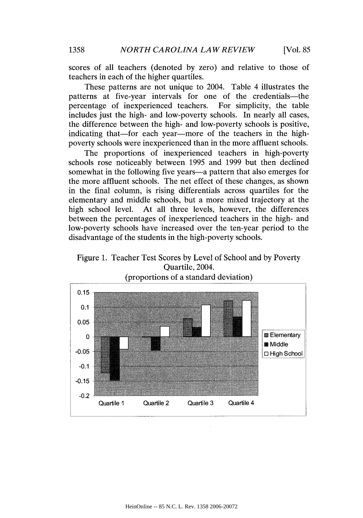scores of all teachers (denoted by zero) and relative to those of teachers in each of the higher quartiles.

These patterns are not unique to 2004. Table 4 illustrates the patterns at five-year intervals for one of the credentials—the percentage of inexperienced teachers. For simplicity, the table percentage of inexperienced teachers. includes just the high- and low-poverty schools. In nearly all cases, the difference between the high- and low-poverty schools is positive, indicating that—for each year—more of the teachers in the highpoverty schools were inexperienced than in the more affluent schools.

The proportions of inexperienced teachers in high-poverty schools rose noticeably between 1995 and 1999 but then declined somewhat in the following five years—a pattern that also emerges for the more affluent schools. The net effect of these changes, as shown in the final column, is rising differentials across quartiles for the elementary and middle schools, but a more mixed trajectory at the high school level. At all three levels, however, the differences between the percentages of inexperienced teachers in the high- and low-poverty schools have increased over the ten-year period to the disadvantage of the students in the high-poverty schools.



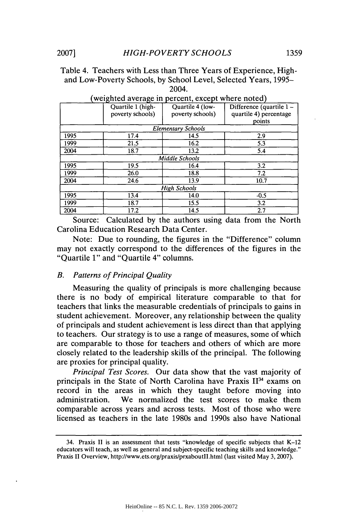Table 4. Teachers with Less than Three Years of Experience, Highand Low-Poverty Schools, by School Level, Selected Years, 1995- 2004.

|      | Quartile 1 (high-<br>poverty schools) | Quartile 4 (low-<br>poverty schools) | Difference (quartile 1 –<br>quartile 4) percentage<br>points |
|------|---------------------------------------|--------------------------------------|--------------------------------------------------------------|
|      |                                       | <b>Elementary Schools</b>            |                                                              |
| 1995 | 17.4                                  | 14.5                                 | 2.9                                                          |
| 1999 | 21.5                                  | 16.2                                 | 5.3                                                          |
| 2004 | 18.7                                  | 13.2                                 | 5.4                                                          |
|      |                                       | Middle Schools                       |                                                              |
| 1995 | 19.5                                  | 16.4                                 | 3.2                                                          |
| 1999 | 26.0                                  | 18.8                                 | 7.2                                                          |
| 2004 | 24.6                                  | 13.9                                 | 10.7                                                         |
|      |                                       | High Schools                         |                                                              |
| 1995 | 13.4                                  | 14.0                                 | $-0.5$                                                       |
| 1999 | 18.7                                  | 15.5                                 | 3.2                                                          |
| 2004 | 17.2                                  | 14.5                                 | 2.7                                                          |

#### (weighted average in percent, except where noted)

**Carolina Education Research Data Center.** Source: Calculated by the authors using data from the North

Note: Due to rounding, the figures in the "Difference" column may not exactly correspond to the differences of the figures in the "Quartile 1" and "Quartile 4" columns.

#### *B. Patterns of Principal Quality*

Measuring the quality of principals is more challenging because there is no body of empirical literature comparable to that for teachers that links the measurable credentials of principals to gains in student achievement. Moreover, any relationship between the quality of principals and student achievement is less direct than that applying to teachers. Our strategy is to use a range of measures, some of which are comparable to those for teachers and others of which are more closely related to the leadership skills of the principal. The following are proxies for principal quality.

*Principal Test Scores.* Our data show that the vast majority of principals in the State of North Carolina have Praxis  $II<sup>34</sup>$  exams on record in the areas in which they taught before moving into administration. We normalized the test scores to make them comparable across years and across tests. Most of those who were licensed as teachers in the late 1980s and 1990s also have National

<sup>34.</sup> Praxis II is an assessment that tests "knowledge of specific subjects that K-12 educators will teach, as well as general and subject-specific teaching skills and knowledge." Praxis II Overview, http://www.ets.org/praxis/prxaboutII.html (last visited May 3, 2007).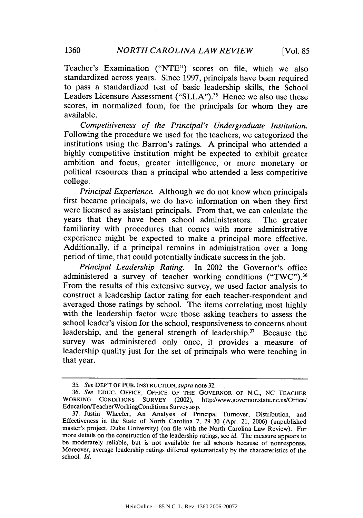Teacher's Examination ("NTE") scores on file, which we also standardized across years. Since 1997, principals have been required to pass a standardized test of basic leadership skills, the School Leaders Licensure Assessment ("SLLA").<sup>35</sup> Hence we also use these scores, in normalized form, for the principals for whom they are available.

*Competitiveness of the Principal's Undergraduate Institution.* Following the procedure we used for the teachers, we categorized the institutions using the Barron's ratings. A principal who attended a highly competitive institution might be expected to exhibit greater ambition and focus, greater intelligence, or more monetary or political resources than a principal who attended a less competitive college.

*Principal Experience.* Although we do not know when principals first became principals, we do have information on when they first were licensed as assistant principals. From that, we can calculate the years that they have been school administrators. The greater familiarity with procedures that comes with more administrative experience might be expected to make a principal more effective. Additionally, if a principal remains in administration over a long period of time, that could potentially indicate success in the job.

*Principal Leadership Rating.* In 2002 the Governor's office administered a survey of teacher working conditions  $("TWC")$ .<sup>36</sup> From the results of this extensive survey, we used factor analysis to construct a leadership factor rating for each teacher-respondent and averaged those ratings by school. The items correlating most highly with the leadership factor were those asking teachers to assess the school leader's vision for the school, responsiveness to concerns about leadership, and the general strength of leadership.<sup>37</sup> Because the survey was administered only once, it provides a measure of leadership quality just for the set of principals who were teaching in that year.

<sup>35.</sup> *See* DEP'T OF **PUB.** INSTRUCTION, *supra* note 32.

<sup>36.</sup> *See* **EDUC. OFFICE, OFFICE** OF THE GOVERNOR OF N.C., NC TEACHER WORKING **CONDITIONS** SURVEY (2002), http://www.governor.state.nc.us/Office/ Education/TeacherWorkingConditions Survey.asp.

<sup>37.</sup> Justin Wheeler, An Analysis of Principal Turnover, Distribution, and Effectiveness in the State of North Carolina 7,  $29-30$  (Apr. 21, 2006) (unpublished master's project, Duke University) (on file with the North Carolina Law Review). For more details on the construction of the leadership ratings, see *id.* The measure appears to be moderately reliable, but is not available for all schools because of nonresponse. Moreover, average leadership ratings differed systematically by the characteristics of the school. *Id.*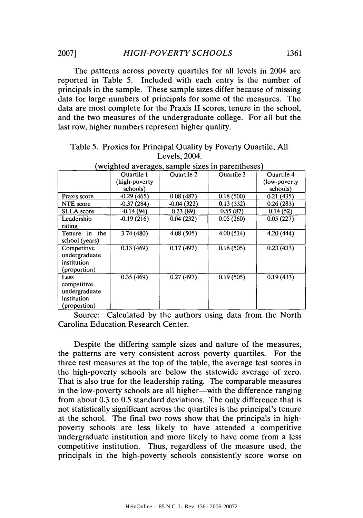The patterns across poverty quartiles for all levels in 2004 are reported in Table 5. Included with each entry is the number of principals in the sample. These sample sizes differ because of missing data for large numbers of principals for some of the measures. The data are most complete for the Praxis II scores, tenure in the school, and the two measures of the undergraduate college. For all but the last row, higher numbers represent higher quality.

| weighted averages, sample sizes in parentheses) |                   |                   |                   |                         |
|-------------------------------------------------|-------------------|-------------------|-------------------|-------------------------|
|                                                 | <b>Ouartile 1</b> | <b>Ouartile 2</b> | <b>Ouartile 3</b> | <b>Ouartile 4</b>       |
|                                                 | (high-poverty)    |                   |                   | (low-poverty)           |
|                                                 | schools)          |                   |                   | schools)                |
| Praxis score                                    | $-0.29(465)$      | 0.08(487)         | 0.18(500)         | 0.21(435)               |
| NTE score                                       | $-0.37(284)$      | $-0.04(322)$      | 0.13(332)         | 0.26(283)               |
| <b>SLLA</b> score                               | $-0.14(94)$       | 0.23(89)          | 0.55(87)          | 0.14(52)                |
| Leadership                                      | $-0.19(216)$      | 0.04(232)         | 0.05(260)         | 0.05(227)               |
| rating                                          |                   |                   |                   |                         |
| Tenure in<br>the                                | 3.74(480)         | 4.08(505)         | 4.00(514)         | 4.20(444)               |
| school (years)                                  |                   |                   |                   |                         |
| Competitive                                     | 0.13(469)         | 0.17(497)         | 0.18(505)         | 0.23(433)               |
| undergraduate                                   |                   |                   |                   |                         |
| institution                                     |                   |                   |                   |                         |
| (proportion)                                    |                   |                   |                   |                         |
| Less                                            | 0.35(469)         | 0.27(497)         | 0.19(505)         | $\overline{0.19}$ (433) |
| competitive                                     |                   |                   |                   |                         |
| undergraduate                                   |                   |                   |                   |                         |
| institution                                     |                   |                   |                   |                         |
| (proportion)                                    |                   |                   |                   |                         |

Table 5. Proxies for Principal Quality by Poverty Quartile, All Levels, 2004.  $\frac{1}{2}$  weighted averages, sample sizes in partnerships  $\frac{1}{2}$ 

Source: Calculated by the authors using data from the North Carolina Education Research Center.

Despite the differing sample sizes and nature of the measures, the patterns are very consistent across poverty quartiles. For the three test measures at the top of the table, the average test scores in the high-poverty schools are below the statewide average of zero. That is also true for the leadership rating. The comparable measures in the low-poverty schools are all higher-with the difference ranging from about 0.3 to 0.5 standard deviations. The only difference that is not statistically significant across the quartiles is the principal's tenure at the school. The final two rows show that the principals in highpoverty schools are less likely to have attended a competitive undergraduate institution and more likely to have come from a less competitive institution. Thus, regardless of the measure used, the principals in the high-poverty schools consistently score worse on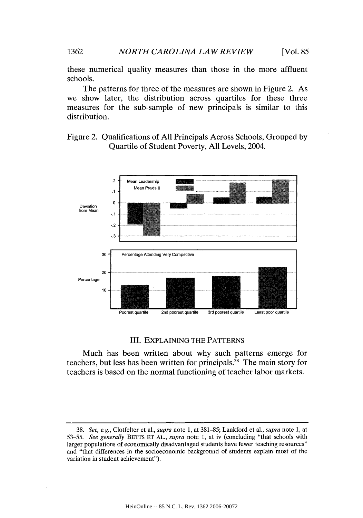these numerical quality measures than those in the more affluent schools.

The patterns for three of the measures are shown in Figure 2. As we show later, the distribution across quartiles for these three measures for the sub-sample of new principals is similar to this distribution.

Figure 2. Qualifications of All Principals Across Schools, Grouped by Quartile of Student Poverty, All Levels, 2004.



#### III. EXPLAINING THE PATTERNS

Much has been written about why such patterns emerge for teachers, but less has been written for principals. $^{38}$  The main story for teachers is based on the normal functioning of teacher labor markets.

<sup>38.</sup> *See, e.g.,* Clotfelter et al., *supra* note 1, at 381-85; Lankford et al., *supra* note 1, at *53-55. See generally* BETTS ET AL., *supra* note 1, at iv (concluding "that schools with larger populations of economically disadvantaged students have fewer teaching resources" and "that differences in the socioeconomic background of students explain most of the variation in student achievement").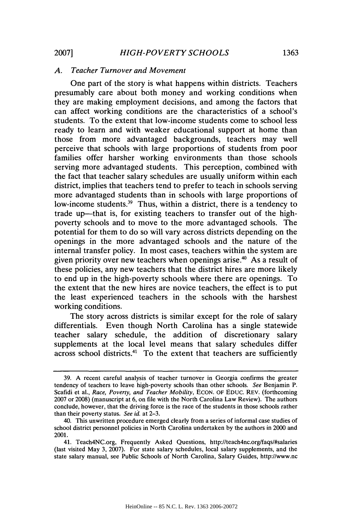#### *A. Teacher Turnover and Movement*

One part of the story is what happens within districts. Teachers presumably care about both money and working conditions when they are making employment decisions, and among the factors that can affect working conditions are the characteristics of a school's students. To the extent that low-income students come to school less ready to learn and with weaker educational support at home than those from more advantaged backgrounds, teachers may well perceive that schools with large proportions of students from poor families offer harsher working environments than those schools serving more advantaged students. This perception, combined with the fact that teacher salary schedules are usually uniform within each district, implies that teachers tend to prefer to teach in schools serving more advantaged students than in schools with large proportions of low-income students.<sup>39</sup> Thus, within a district, there is a tendency to trade up—that is, for existing teachers to transfer out of the highpoverty schools and to move to the more advantaged schools. The potential for them to do so will vary across districts depending on the openings in the more advantaged schools and the nature of the internal transfer policy. In most cases, teachers within the system are given priority over new teachers when openings arise.<sup>40</sup> As a result of these policies, any new teachers that the district hires are more likely to end up in the high-poverty schools where there are openings. To the extent that the new hires are novice teachers, the effect is to put the least experienced teachers in the schools with the harshest working conditions.

The story across districts is similar except for the role of salary differentials. Even though North Carolina has a single statewide teacher salary schedule, the addition of discretionary salary supplements at the local level means that salary schedules differ across school districts.<sup>41</sup> To the extent that teachers are sufficiently

<sup>39.</sup> A recent careful analysis of teacher turnover in Georgia confirms the greater tendency of teachers to leave high-poverty schools than other schools. *See* Benjamin P. Scafidi et al., *Race, Poverty, and Teacher Mobility,* ECON. OF EDUC. REV. (forthcoming 2007 or 2008) (manuscript at 6, on file with the North Carolina Law Review). The authors conclude, however, that the driving force is the race of the students in those schools rather than their poverty status. *See id.* at 2-3.

<sup>40.</sup> This unwritten procedure emerged clearly from a series of informal case studies of school district personnel policies in North Carolina undertaken by the authors in 2000 and 2001.

<sup>41.</sup> Teach4NC.org, Frequently Asked Questions, http://teach4nc.org/faqs/#salaries (last visited May 3, 2007). For state salary schedules, local salary supplements, and the state salary manual, see Public Schools of North Carolina, Salary Guides, http://www.nc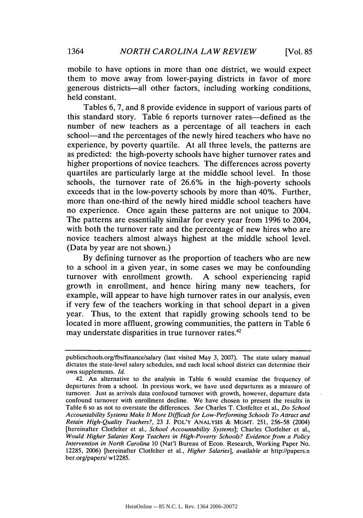mobile to have options in more than one district, we would expect them to move away from lower-paying districts in favor of more generous districts-all other factors, including working conditions, held constant.

Tables 6, 7, and 8 provide evidence in support of various parts of this standard story. Table 6 reports turnover rates-defined as the number of new teachers as a percentage of all teachers in each school—and the percentages of the newly hired teachers who have no experience, by poverty quartile. At all three levels, the patterns are as predicted: the high-poverty schools have higher turnover rates and higher proportions of novice teachers. The differences across poverty quartiles are particularly large at the middle school level. In those schools, the turnover rate of 26.6% in the high-poverty schools exceeds that in the low-poverty schools by more than 40%. Further, more than one-third of the newly hired middle school teachers have no experience. Once again these patterns are not unique to 2004. The patterns are essentially similar for every year from 1996 to 2004, with both the turnover rate and the percentage of new hires who are novice teachers almost always highest at the middle school level. (Data by year are not shown.)

By defining turnover as the proportion of teachers who are new to a school in a given year, in some cases we may be confounding turnover with enrollment growth. A school experiencing rapid growth in enrollment, and hence hiring many new teachers, for example, will appear to have high turnover rates in our analysis, even if very few of the teachers working in that school depart in a given year. Thus, to the extent that rapidly growing schools tend to be located in more affluent, growing communities, the pattern in Table 6 may understate disparities in true turnover rates.<sup>42</sup>

publicschools.org/fbs/finance/salary (last visited May 3, 2007). The state salary manual dictates the state-level salary schedules, and each local school district can determine their own supplements. *Id.*

<sup>42.</sup> An alternative to the analysis in Table 6 would examine the frequency of departures from a school. In previous work, we have used departures as a measure of turnover. Just as arrivals data confound turnover with growth, however, departure data confound turnover with enrollment decline. We have chosen to present the results in Table 6 so as not to overstate the differences. *See* Charles T. Clotfelter et al., *Do School Accountability Systems Make It More Difficult for Low-Performing Schools To Attract and Retain High-Quality Teachers?,* 23 J. POL'Y **ANALYSIS** & MGMT. 251, 256-58 (2004) [hereinafter Clotfelter et al., *School Accountability Systems];* Charles Clotfelter et al., *Would Higher Salaries Keep Teachers in High-Poverty Schools? Evidence from a Policy Intervention in North Carolina* 10 (Nat'l Bureau of Econ. Research, Working Paper No. 12285, 2006) [hereinafter Clotfelter et al., *Higher Salaries], available at* http://papers.n ber.org/papers/ w12285.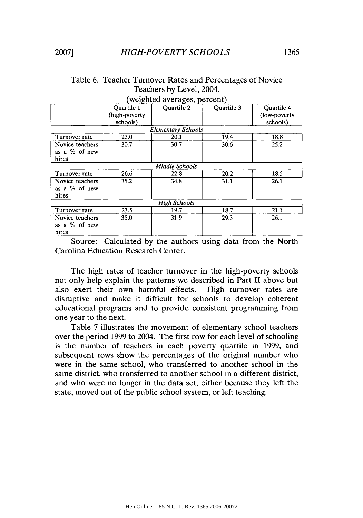|                 | Quartile 1     | Quartile 2                | Quartile 3 | <b>Ouartile 4</b> |
|-----------------|----------------|---------------------------|------------|-------------------|
|                 | (high-poverty) |                           |            | (low-poverty)     |
|                 | schools)       |                           |            | schools)          |
|                 |                | <b>Elementary Schools</b> |            |                   |
| Turnover rate   | 23.0           | 20.1                      | 19.4       | 18.8              |
| Novice teachers | 30.7           | 30.7                      | 30.6       | 25.2              |
| as a % of new   |                |                           |            |                   |
| hires           |                |                           |            |                   |
|                 |                | Middle Schools            |            |                   |
| Turnover rate   | 26.6           | 22.8                      | 20.2       | 18.5              |
| Novice teachers | 35.2           | 34.8                      | 31.1       | 26.1              |
| as a % of new   |                |                           |            |                   |
| hires           |                |                           |            |                   |
|                 |                | <b>High Schools</b>       |            |                   |
| Turnover rate   | 23.5           | 19.7                      | 18.7       | 21.1              |
| Novice teachers | 35.0           | 31.9                      | 29.3       | 26.1              |
| as a % of new   |                |                           |            |                   |
| hires           |                |                           |            |                   |

# Table 6. Teacher Turnover Rates and Percentages of Novice Teachers by Level, 2004. (weighted averages, percent)

Source: Calculated by the authors using data from the North Carolina Education Research Center.

The high rates of teacher turnover in the high-poverty schools not only help explain the patterns we described in Part II above but also exert their own harmful effects. High turnover rates are disruptive and make it difficult for schools to develop coherent educational programs and to provide consistent programming from one year to the next.

Table 7 illustrates the movement of elementary school teachers over the period 1999 to 2004. The first row for each level of schooling is the number of teachers in each poverty quartile in 1999, and subsequent rows show the percentages of the original number who were in the same school, who transferred to another school in the same district, who transferred to another school in a different district, and who were no longer in the data set, either because they left the state, moved out of the public school system, or left teaching.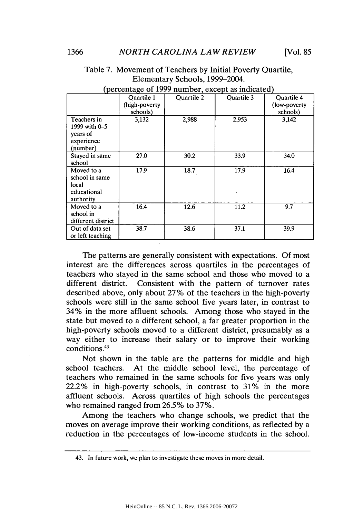|                                                                   |               | (percentage of $1777$ namoer, except as mercated) |            |                   |
|-------------------------------------------------------------------|---------------|---------------------------------------------------|------------|-------------------|
|                                                                   | Quartile 1    | <b>Quartile 2</b>                                 | Quartile 3 | <b>Ouartile 4</b> |
|                                                                   | (high-poverty |                                                   |            | (low-poverty)     |
|                                                                   | schools)      |                                                   |            | schools)          |
| Teachers in<br>1999 with 0-5<br>years of<br>experience            | 3,132         | 2,988                                             | 2,953      | 3,142             |
| (number)                                                          |               |                                                   |            |                   |
| Stayed in same                                                    | 27.0          | 30.2                                              | 33.9       | 34.0              |
| school                                                            |               |                                                   |            |                   |
| Moved to a<br>school in same<br>local<br>educational<br>authority | 17.9          | 18.7                                              | 17.9       | 16.4              |
| Moved to a                                                        | 16.4          | 12.6                                              | 11.2       | 9.7               |
| school in                                                         |               |                                                   |            |                   |
| different district                                                |               |                                                   |            |                   |
| Out of data set<br>or left teaching                               | 38.7          | 38.6                                              | 37.1       | 39.9              |

# Table 7. Movement of Teachers by Initial Poverty Quartile, Elementary Schools, 1999-2004.

| (percentage of 1999 number, except as indicated) |  |
|--------------------------------------------------|--|
|--------------------------------------------------|--|

The patterns are generally consistent with expectations. Of most interest are the differences across quartiles in the percentages of teachers who stayed in the same school and those who moved to a different district. Consistent with the pattern of turnover rates described above, only about 27% of the teachers in the high-poverty schools were still in the same school five years later, in contrast to 34% in the more affluent schools. Among those who stayed in the state but moved to a different school, a far greater proportion in the high-poverty schools moved to a different district, presumably as a way either to increase their salary or to improve their working conditions.43

Not shown in the table are the patterns for middle and high school teachers. At the middle school level, the percentage of teachers who remained in the same schools for five years was only 22.2% in high-poverty schools, in contrast to 31% in the more affluent schools. Across quartiles of high schools the percentages who remained ranged from 26.5% to 37%.

Among the teachers who change schools, we predict that the moves on average improve their working conditions, as reflected by a reduction in the percentages of low-income students in the school.

<sup>43.</sup> In future work, we plan to investigate these moves in more detail.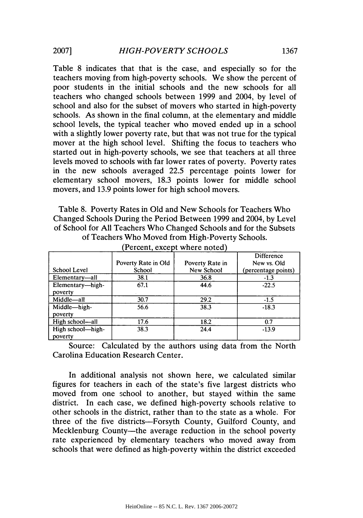Table 8 indicates that that is the case, and especially so for the teachers moving from high-poverty schools. We show the percent of poor students in the initial schools and the new schools for all teachers who changed schools between 1999 and 2004, by level of school and also for the subset of movers who started in high-poverty schools. As shown in the final column, at the elementary and middle school levels, the typical teacher who moved ended up in a school with a slightly lower poverty rate, but that was not true for the typical mover at the high school level. Shifting the focus to teachers who started out in high-poverty schools, we see that teachers at all three levels moved to schools with far lower rates of poverty. Poverty rates in the new schools averaged 22.5 percentage points lower for elementary school movers, 18.3 points lower for middle school movers, and 13.9 points lower for high school movers.

Table 8. Poverty Rates in Old and New Schools for Teachers Who Changed Schools During the Period Between 1999 and 2004, by Level of School for All Teachers Who Changed Schools and for the Subsets of Teachers Who Moved from High-Poverty Schools.

|                   |                     |                 | Difference          |
|-------------------|---------------------|-----------------|---------------------|
|                   | Poverty Rate in Old | Poverty Rate in | New vs. Old         |
| School Level      | School              | New School      | (percentage points) |
| Elementary-all    | 38.1                | 36.8            | $-1.3$              |
| Elementary-high-  | 67.1                | 44.6            | $-22.5$             |
| poverty           |                     |                 |                     |
| Middle-all        | 30.7                | 29.2            | $-1.5$              |
| Middle-high-      | 56.6                | 38.3            | $-18.3$             |
| poverty           |                     |                 |                     |
| High school—all   | 17.6                | 18.2            | 0.7                 |
| High school-high- | 38.3                | 24.4            | $-13.9$             |
| poverty           |                     |                 |                     |

(Percent, except where noted)

Source: Calculated by the authors using data from the North Carolina Education Research Center.

In additional analysis not shown here, we calculated similar figures for teachers in each of the state's five largest districts who moved from one school to another, but stayed within the same district. In each case, we defined high-poverty schools relative to other schools in the district, rather than to the state as a whole. For three of the five districts-Forsyth County, Guilford County, and Mecklenburg County—the average reduction in the school poverty rate experienced by elementary teachers who moved away from schools that were defined as high-poverty within the district exceeded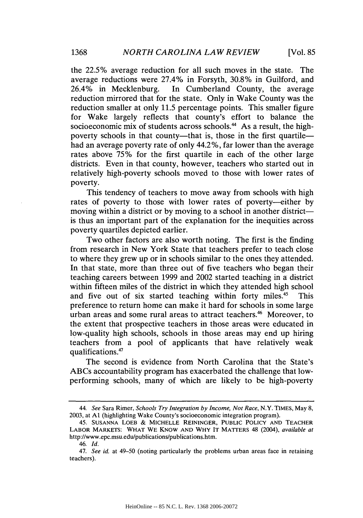the 22.5% average reduction for all such moves in the state. The average reductions were 27.4% in Forsyth, 30.8% in Guilford, and 26.4% in Mecklenburg. In Cumberland County, the average reduction mirrored that for the state. Only in Wake County was the reduction smaller at only 11.5 percentage points. This smaller figure for Wake largely reflects that county's effort to balance the socioeconomic mix of students across schools.<sup>44</sup> As a result, the highpoverty schools in that county—that is, those in the first quartile had an average poverty rate of only 44.2%, far lower than the average rates above 75% for the first quartile in each of the other large districts. Even in that county, however, teachers who started out in relatively high-poverty schools moved to those with lower rates of poverty.

This tendency of teachers to move away from schools with high rates of poverty to those with lower rates of poverty-either by moving within a district or by moving to a school in another district is thus an important part of the explanation for the inequities across poverty quartiles depicted earlier.

Two other factors are also worth noting. The first is the finding from research in New York State that teachers prefer to teach close to where they grew up or in schools similar to the ones they attended. In that state, more than three out of five teachers who began their teaching careers between 1999 and 2002 started teaching in a district within fifteen miles of the district in which they attended high school and five out of six started teaching within forty miles.<sup>45</sup> This preference to return home can make it hard for schools in some large urban areas and some rural areas to attract teachers.<sup>46</sup> Moreover, to the extent that prospective teachers in those areas were educated in low-quality high schools, schools in those areas may end up hiring teachers from a pool of applicants that have relatively weak qualifications.47

The second is evidence from North Carolina that the State's ABCs accountability program has exacerbated the challenge that lowperforming schools, many of which are likely to be high-poverty

*<sup>44.</sup> See* Sara Rimer, *Schools Try Integration by Income, Not Race,* N.Y. TIMES, May 8, 2003, at **Al** (highlighting Wake County's socioeconomic integration program).

<sup>45.</sup> **SUSANNA** LOEB & **MICHELLE** REININGER, **PUBLIC** POLICY **AND** TEACHER LABOR MARKETS: WHAT WE KNOW **AND** WHY IT MATTERS 48 (2004), *available at* http://www.epc.msu.edu/publications/publications.htm.

<sup>46.</sup> *Id.*

*<sup>47.</sup> See id.* at 49-50 (noting particularly the problems urban areas face in retaining teachers).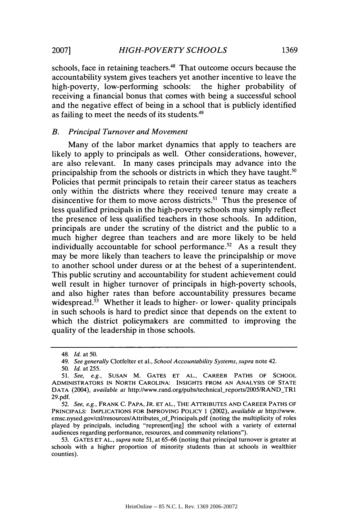schools, face in retaining teachers. 48 That outcome occurs because the accountability system gives teachers yet another incentive to leave the high-poverty, low-performing schools: the higher probability of receiving a financial bonus that comes with being a successful school and the negative effect of being in a school that is publicly identified as failing to meet the needs of its students.49

## *B. Principal Turnover and Movement*

Many of the labor market dynamics that apply to teachers are likely to apply to principals as well. Other considerations, however, are also relevant. In many cases principals may advance into the principalship from the schools or districts in which they have taught.<sup>50</sup> Policies that permit principals to retain their career status as teachers only within the districts where they received tenure may create a disincentive for them to move across districts.<sup>51</sup> Thus the presence of less qualified principals in the high-poverty schools may simply reflect the presence of less qualified teachers in those schools. In addition, principals are under the scrutiny of the district and the public to a much higher degree than teachers and are more likely to be held individually accountable for school performance.<sup>52</sup> As a result they may be more likely than teachers to leave the principalship or move to another school under duress or at the behest of a superintendent. This public scrutiny and accountability for student achievement could well result in higher turnover of principals in high-poverty schools, and also higher rates than before accountability pressures became widespread.<sup>53</sup> Whether it leads to higher- or lower- quality principals in such schools is hard to predict since that depends on the extent to which the district policymakers are committed to improving the quality of the leadership in those schools.

<sup>48.</sup> *Id.* at 50.

*<sup>49.</sup> See generally* Clotfelter et al., *School Accountability Systems, supra* note 42.

<sup>50.</sup> *Id.* at 255.

<sup>51.</sup> *See, e.g.,* SUSAN M. GATES ET AL., CAREER PATHS OF SCHOOL ADMINISTRATORS **IN** NORTH CAROLINA: INSIGHTS FROM **AN** ANALYSIS OF **STATE** DATA (2004), *available at http://www.rand.org/pubs/technical\_reports/2005/RAND\_TR1* 29.pdf.

<sup>52.</sup> *See, e.g.,* FRANK C. PAPA, JR. ET AL., THE ATTRIBUTES AND CAREER PATHS OF PRINCIPALS: IMPLICATIONS FOR IMPROVING POLICY 1 (2002), *available at* http://www. emsc.nysed.gov/csl/resources/Attributes of Principals.pdf (noting the multiplicity of roles played by principals, including "represent[ing] the school with a variety of external audiences regarding performance, resources, and community relations").

<sup>53.</sup> GATES ET AL., *supra* note 51, at 65-66 (noting that principal turnover is greater at schools with a higher proportion of minority students than at schools in wealthier counties).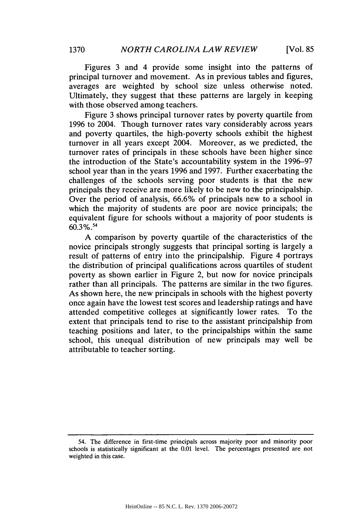Figures 3 and 4 provide some insight into the patterns of principal turnover and movement. As in previous tables and figures, averages are weighted by school size unless otherwise noted. Ultimately, they suggest that these patterns are largely in keeping with those observed among teachers.

Figure 3 shows principal turnover rates by poverty quartile from 1996 to 2004. Though turnover rates vary considerably across years and poverty quartiles, the high-poverty schools exhibit the highest turnover in all years except 2004. Moreover, as we predicted, the turnover rates of principals in these schools have been higher since the introduction of the State's accountability system in the 1996-97 school year than in the years 1996 and 1997. Further exacerbating the challenges of the schools serving poor students is that the new principals they receive are more likely to be new to the principalship. Over the period of analysis, 66.6% of principals new to a school in which the majority of students are poor are novice principals; the equivalent figure for schools without a majority of poor students is 60.3% **.**

A comparison by poverty quartile of the characteristics of the novice principals strongly suggests that principal sorting is largely a result of patterns of entry into the principalship. Figure 4 portrays the distribution of principal qualifications across quartiles of student poverty as shown earlier in Figure 2, but now for novice principals rather than all principals. The patterns are similar in the two figures. As shown here, the new principals in schools with the highest poverty once again have the lowest test scores and leadership ratings and have attended competitive colleges at significantly lower rates. To the extent that principals tend to rise to the assistant principalship from teaching positions and later, to the principalships within the same school, this unequal distribution of new principals may well be attributable to teacher sorting.

<sup>54.</sup> The difference in first-time principals across majority poor and minority poor schools is statistically significant at the 0.01 level. The percentages presented are not weighted in this case.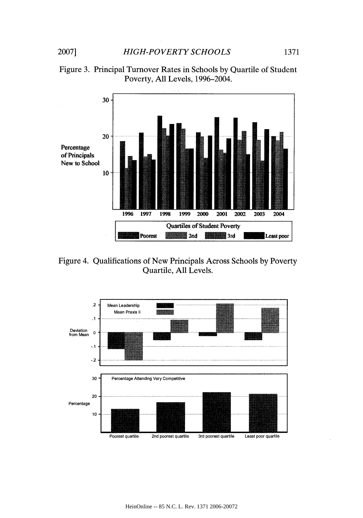



Figure 4. Qualifications of New Principals Across Schools by Poverty Quartile, All Levels.

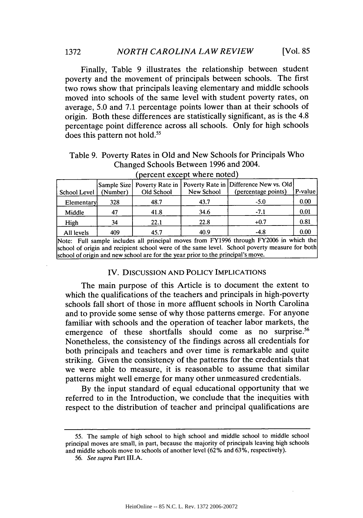Finally, Table 9 illustrates the relationship between student poverty and the movement of principals between schools. The first two rows show that principals leaving elementary and middle schools moved into schools of the same level with student poverty rates, on average, 5.0 and 7.1 percentage points lower than at their schools of origin. Both these differences are statistically significant, as is the 4.8 percentage point difference across all schools. Only for high schools does this pattern not hold.<sup>55</sup>

| Table 9. Poverty Rates in Old and New Schools for Principals Who |
|------------------------------------------------------------------|
| Changed Schools Between 1996 and 2004.                           |

| School Level | (Number) | Old School | New School | Sample Size   Poverty Rate in   Poverty Rate in   Difference New vs. Old  <br>(percentage points) | P-value |
|--------------|----------|------------|------------|---------------------------------------------------------------------------------------------------|---------|
| Elementary   | 328      | 48.7       | 43.7       | $-5.0$                                                                                            | 0.00    |
| Middle       | 47       | 41.8       | 34.6       | $-7.1$                                                                                            | 0.01    |
| High         | 34       | 22.1       | 22.8       | $+0.7$                                                                                            | 0.81    |
| All levels   | 409      | 45.7       | 40.9       | $-4.8$                                                                                            | 0.00    |
| .            |          |            |            | <b>C</b> TREADER I and TREADER'S added.                                                           |         |

(percent except where noted)

Note: Full sample includes all principal moves from FY1996 through FY2006 in which the school of origin and recipient school were of the same level. School poverty measure for both school of origin and new school are for the year prior to the principal's move.

## IV. DISCUSSION AND POLICY IMPLICATIONS

The main purpose of this Article is to document the extent to which the qualifications of the teachers and principals in high-poverty schools fall short of those in more affluent schools in North Carolina and to provide some sense of why those patterns emerge. For anyone familiar with schools and the operation of teacher labor markets, the emergence of these shortfalls should come as no surprise.<sup>56</sup> Nonetheless, the consistency of the findings across all credentials for both principals and teachers and over time is remarkable and quite striking. Given the consistency of the patterns for the credentials that we were able to measure, it is reasonable to assume that similar patterns might well emerge for many other unmeasured credentials.

By the input standard of equal educational opportunity that we referred to in the Introduction, we conclude that the inequities with respect to the distribution of teacher and principal qualifications are

<sup>55.</sup> The sample of high school to high school and middle school to middle school principal moves are small, in part, because the majority of principals leaving high schools and middle schools move to schools of another level (62% and 63%, respectively).

<sup>56.</sup> See supra Part III.A.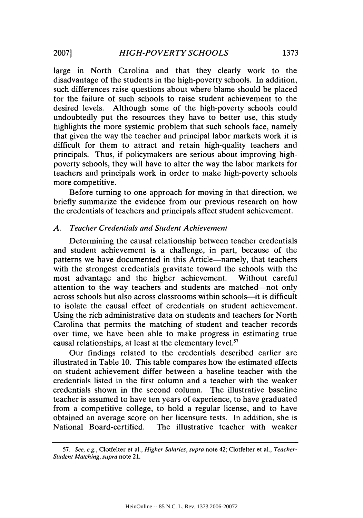large in North Carolina and that they clearly work to the disadvantage of the students in the high-poverty schools. In addition, such differences raise questions about where blame should be placed for the failure of such schools to raise student achievement to the desired levels. Although some of the high-poverty schools could undoubtedly put the resources they have to better use, this study highlights the more systemic problem that such schools face, namely that given the way the teacher and principal labor markets work it is difficult for them to attract and retain high-quality teachers and principals. Thus, if policymakers are serious about improving highpoverty schools, they will have to alter the way the labor markets for teachers and principals work in order to make high-poverty schools more competitive.

Before turning to one approach for moving in that direction, we briefly summarize the evidence from our previous research on how the credentials of teachers and principals affect student achievement.

# *A. Teacher Credentials and Student Achievement*

Determining the causal relationship between teacher credentials and student achievement is a challenge, in part, because of the patterns we have documented in this Article-namely, that teachers with the strongest credentials gravitate toward the schools with the most advantage and the higher achievement. Without careful attention to the way teachers and students are matched—not only across schools but also across classrooms within schools—it is difficult to isolate the causal effect of credentials on student achievement. Using the rich administrative data on students and teachers for North Carolina that permits the matching of student and teacher records over time, we have been able to make progress in estimating true causal relationships, at least at the elementary level. $57$ 

Our findings related to the credentials described earlier are illustrated in Table 10. This table compares how the estimated effects on student achievement differ between a baseline teacher with the credentials listed in the first column and a teacher with the weaker credentials shown in the second column. The illustrative baseline teacher is assumed to have ten years of experience, to have graduated from a competitive college, to hold a regular license, and to have obtained an average score on her licensure tests. In addition, she is National Board-certified. The illustrative teacher with weaker

<sup>57.</sup> See, e.g., Clotfelter et al., *Higher Salaries, supra* note 42; Clotfelter et al., *Teacher-*Student *Matching,* supra note 21.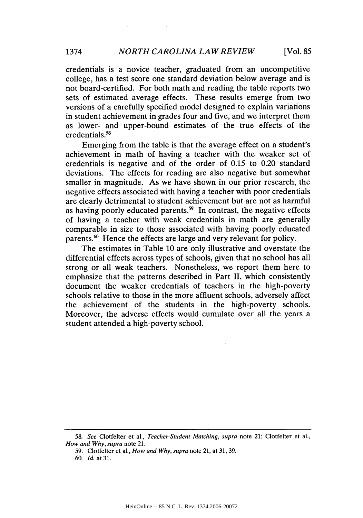credentials is a novice teacher, graduated from an uncompetitive college, has a test score one standard deviation below average and is not board-certified. For both math and reading the table reports two sets of estimated average effects. These results emerge from two versions of a carefully specified model designed to explain variations in student achievement in grades four and five, and we interpret them as lower- and upper-bound estimates of the true effects of the credentials.58

Emerging from the table is that the average effect on a student's achievement in math of having a teacher with the weaker set of credentials is negative and of the order of 0.15 to 0.20 standard deviations. The effects for reading are also negative but somewhat smaller in magnitude. As we have shown in our prior research, the negative effects associated with having a teacher with poor credentials are clearly detrimental to student achievement but are not as harmful as having poorly educated parents.<sup>59</sup> In contrast, the negative effects of having a teacher with weak credentials in math are generally comparable in size to those associated with having poorly educated parents.<sup>60</sup> Hence the effects are large and very relevant for policy.

The estimates in Table 10 are only illustrative and overstate the differential effects across types of schools, given that no school has all strong or all weak teachers. Nonetheless, we report them here to emphasize that the patterns described in Part II, which consistently document the weaker credentials of teachers in the high-poverty schools relative to those in the more affluent schools, adversely affect the achievement of the students in the high-poverty schools. Moreover, the adverse effects would cumulate over all the years a student attended a high-poverty school.

<sup>58.</sup> *See* Clotfelter et al., *Teacher-Student Matching, supra* note 21; Clotfelter et al., *How and Why, supra* note 21.

<sup>59.</sup> Clotfelter et al., *How and Why, supra* note 21, at 31, 39.

<sup>60.</sup> *Id.* at 31.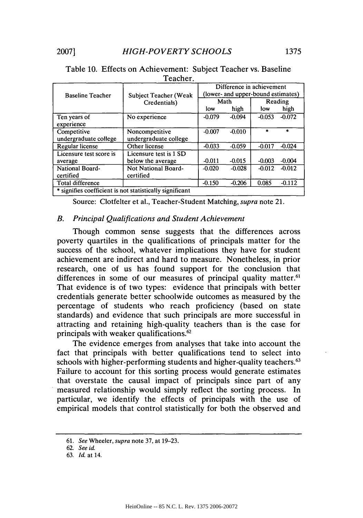|                                                          | Teacher.                                     |                                                                 |          |          |          |
|----------------------------------------------------------|----------------------------------------------|-----------------------------------------------------------------|----------|----------|----------|
| <b>Baseline Teacher</b>                                  | <b>Subject Teacher (Weak</b><br>Credentials) | Difference in achievement<br>(lower- and upper-bound estimates) |          |          |          |
|                                                          |                                              | Math                                                            |          | Reading  |          |
|                                                          |                                              | low                                                             | high     | low      | high     |
| Ten years of<br>experience                               | No experience                                | $-0.079$                                                        | $-0.094$ | $-0.053$ | $-0.072$ |
| Competitive<br>undergraduate college                     | Noncompetitive<br>undergraduate college      | $-0.007$                                                        | $-0.010$ | ÷.       | $\star$  |
| Regular license                                          | Other license                                | $-0.033$                                                        | $-0.059$ | $-0.017$ | $-0.024$ |
| Licensure test score is<br>average                       | Licensure test is 1 SD<br>below the average  | $-0.011$                                                        | $-0.015$ | $-0.003$ | $-0.004$ |
| <b>National Board-</b><br>certified                      | Not National Board-<br>certified             | $-0.020$                                                        | $-0.028$ | $-0.012$ | $-0.012$ |
| Total difference                                         |                                              | $-0.150$                                                        | $-0.206$ | 0.085    | $-0.112$ |
| * signifies coefficient is not statistically significant |                                              |                                                                 |          |          |          |

# Table **10.** Effects on Achievement: Subject Teacher vs. Baseline Teacher.

Source: Clotfelter et al., Teacher-Student Matching, *supra* note 21.

# *B. Principal Qualifications and Student Achievement*

Though common sense suggests that the differences across poverty quartiles in the qualifications of principals matter for the success of the school, whatever implications they have for student achievement are indirect and hard to measure. Nonetheless, in prior research, one of us has found support for the conclusion that differences in some of our measures of principal quality matter.<sup>61</sup> That evidence is of two types: evidence that principals with better credentials generate better schoolwide outcomes as measured by the percentage of students who reach proficiency (based on state standards) and evidence that such principals are more successful in attracting and retaining high-quality teachers than is the case for principals with weaker qualifications.<sup>62</sup>

The evidence emerges from analyses that take into account the fact that principals with better qualifications tend to select into schools with higher-performing students and higher-quality teachers.<sup>63</sup> Failure to account for this sorting process would generate estimates that overstate the causal impact of principals since part of any measured relationship would simply reflect the sorting process. In particular, we identify the effects of principals with the use of empirical models that control statistically for both the observed and

<sup>61.</sup> *See* Wheeler, supra note 37, at 19-23.

<sup>62.</sup> *See id.*

<sup>63.</sup> *Id.* at 14.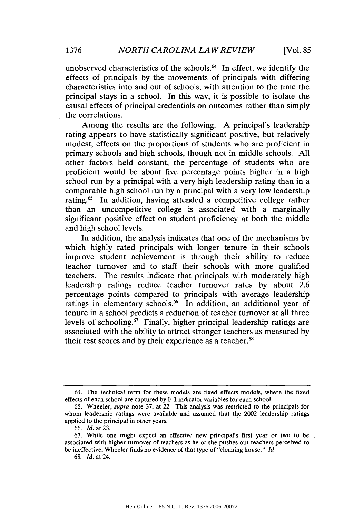unobserved characteristics of the schools.<sup>64</sup> In effect, we identify the effects of principals by the movements of principals with differing characteristics into and out of schools, with attention to the time the principal stays in a school. In this way, it is possible to isolate the causal effects of principal credentials on outcomes rather than simply the correlations.

Among the results are the following. A principal's leadership rating appears to have statistically significant positive, but relatively modest, effects on the proportions of students who are proficient in primary schools and high schools, though not in middle schools. All other factors held constant, the percentage of students who are proficient would be about five percentage points higher in a high school run by a principal with a very high leadership rating than in a comparable high school run by a principal with a very low leadership rating.<sup>65</sup> In addition, having attended a competitive college rather than an uncompetitive college is associated with a marginally significant positive effect on student proficiency at both the middle and high school levels.

In addition, the analysis indicates that one of the mechanisms by which highly rated principals with longer tenure in their schools improve student achievement is through their ability to reduce teacher turnover and to staff their schools with more qualified teachers. The results indicate that principals with moderately high leadership ratings reduce teacher turnover rates by about 2.6 percentage points compared to principals with average leadership ratings in elementary schools.<sup>66</sup> In addition, an additional year of tenure in a school predicts a reduction of teacher turnover at all three levels of schooling.67 Finally, higher principal leadership ratings are associated with the ability to attract stronger teachers as measured by their test scores and by their experience as a teacher.<sup>68</sup>

<sup>64.</sup> The technical term for these models are fixed effects models, where the fixed effects of each school are captured by **0-1** indicator variables for each school.

<sup>65.</sup> Wheeler, *supra* note 37, at 22. This analysis was restricted to the principals for whom leadership ratings were available and assumed that the 2002 leadership ratings applied to the principal in other years.

<sup>66.</sup> *Id.* at 23.

<sup>67.</sup> While one might expect an effective new principal's first year or two to be associated with higher turnover of teachers as he or she pushes out teachers perceived to be ineffective, Wheeler finds no evidence of that type of "cleaning house." *Id.*

<sup>68.</sup> *Id.* at 24.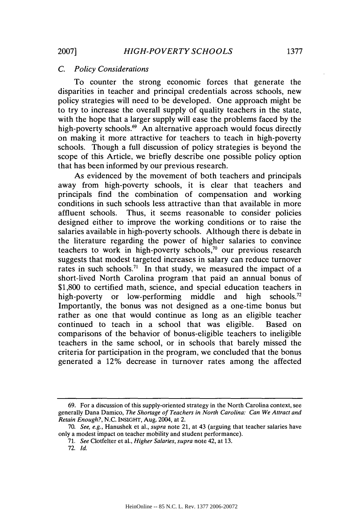# *C. Policy Considerations*

To counter the strong economic forces that generate the disparities in teacher and principal credentials across schools, new policy strategies will need to be developed. One approach might be to try to increase the overall supply of quality teachers in the state, with the hope that a larger supply will ease the problems faced by the high-poverty schools.<sup>69</sup> An alternative approach would focus directly on making it more attractive for teachers to teach in high-poverty schools. Though a full discussion of policy strategies is beyond the scope of this Article, we briefly describe one possible policy option that has been informed by our previous research.

As evidenced by the movement of both teachers and principals away from high-poverty schools, it is clear that teachers and principals find the combination of compensation and working conditions in such schools less attractive than that available in more affluent schools. Thus, it seems reasonable to consider policies designed either to improve the working conditions or to raise the salaries available in high-poverty schools. Although there is debate in the literature regarding the power of higher salaries to convince teachers to work in high-poverty schools,<sup>70</sup> our previous research suggests that modest targeted increases in salary can reduce turnover rates in such schools.<sup>71</sup> In that study, we measured the impact of a short-lived North Carolina program that paid an annual bonus of \$1,800 to certified math, science, and special education teachers in high-poverty or low-performing middle and high schools.<sup>72</sup> Importantly, the bonus was not designed as a one-time bonus but rather as one that would continue as long as an eligible teacher continued to teach in a school that was eligible. Based on comparisons of the behavior of bonus-eligible teachers to ineligible teachers in the same school, or in schools that barely missed the criteria for participation in the program, we concluded that the bonus generated a 12% decrease in turnover rates among the affected

<sup>69.</sup> For a discussion of this supply-oriented strategy in the North Carolina context, see generally Dana Damico, *The Shortage of Teachers in North Carolina: Can We Attract and Retain Enough?,* N.C. INSIGHT, Aug. 2004, at 2.

<sup>70.</sup> *See, e.g.,* Hanushek et al., *supra* note 21, at 43 (arguing that teacher salaries have only a modest impact on teacher mobility and student performance).

<sup>71.</sup> *See* Clotfelter et al., *Higher Salaries, supra* note 42, at 13.

<sup>72.</sup> *Id.*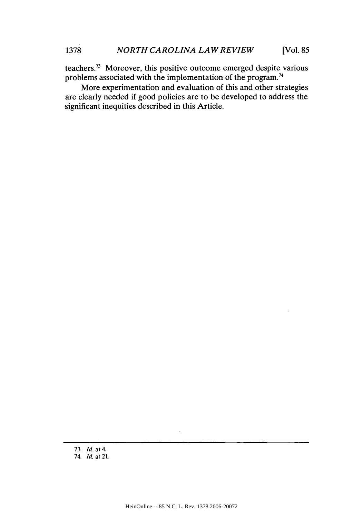teachers.73 Moreover, this positive outcome emerged despite various problems associated with the implementation of the program.74

More experimentation and evaluation of this and other strategies are clearly needed if good policies are to be developed to address the significant inequities described in this Article.

<sup>73.</sup> *Id.* at 4. 74. *Id.* at 21.